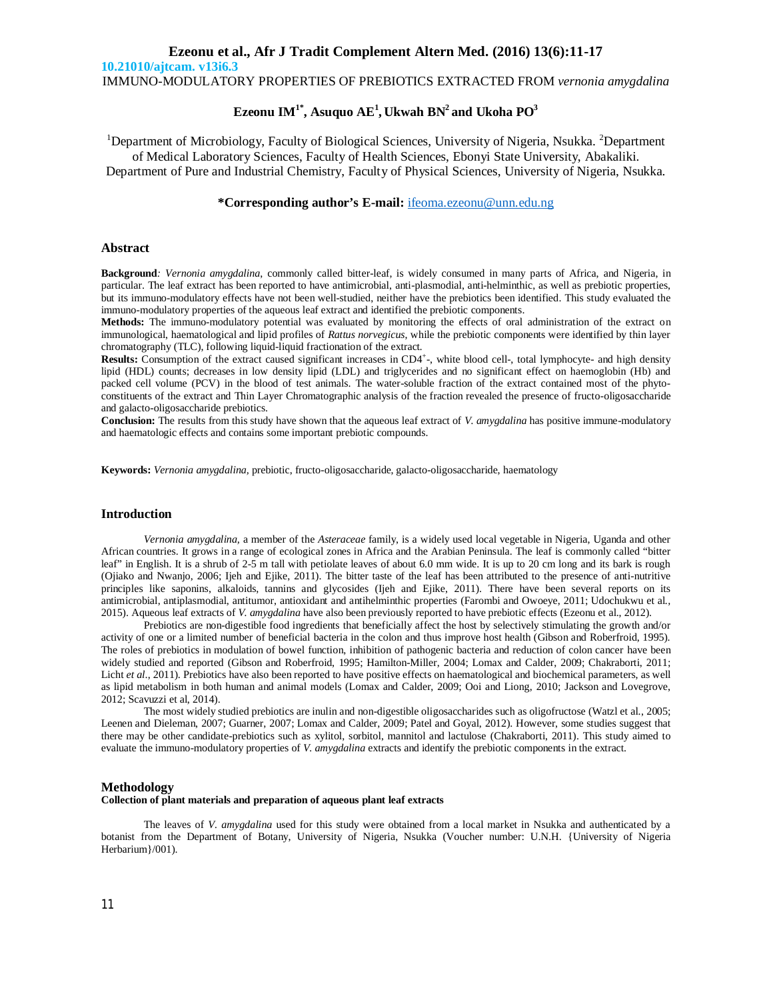# **Ezeonu et al., Afr J Tradit Complement Altern Med. (2016) 13(6):11-17 10.21010/ajtcam. v13i6.3** IMMUNO-MODULATORY PROPERTIES OF PREBIOTICS EXTRACTED FROM *vernonia amygdalina*

# $\bf{E}$ zeonu  $\bf{IM}^{1*}, \bf{Asuquo}$   $\bf{AE}^1, \bf{Ukwah}$   $\bf{BN}^2$  and  $\bf{Ukoha}$   $\bf{PO}^3$

<sup>1</sup>Department of Microbiology, Faculty of Biological Sciences, University of Nigeria, Nsukka. <sup>2</sup>Department of Medical Laboratory Sciences, Faculty of Health Sciences, Ebonyi State University, Abakaliki. Department of Pure and Industrial Chemistry, Faculty of Physical Sciences, University of Nigeria, Nsukka.

## **\*Corresponding author's E-mail:** ifeoma.ezeonu@unn.edu.ng

## **Abstract**

**Background***: Vernonia amygdalina*, commonly called bitter-leaf, is widely consumed in many parts of Africa, and Nigeria, in particular. The leaf extract has been reported to have antimicrobial, anti-plasmodial, anti-helminthic, as well as prebiotic properties, but its immuno-modulatory effects have not been well-studied, neither have the prebiotics been identified. This study evaluated the immuno-modulatory properties of the aqueous leaf extract and identified the prebiotic components.

**Methods:** The immuno-modulatory potential was evaluated by monitoring the effects of oral administration of the extract on immunological, haematological and lipid profiles of *Rattus norvegicus*, while the prebiotic components were identified by thin layer chromatography (TLC), following liquid-liquid fractionation of the extract*.*

Results: Consumption of the extract caused significant increases in CD4<sup>+</sup>-, white blood cell-, total lymphocyte- and high density lipid (HDL) counts; decreases in low density lipid (LDL) and triglycerides and no significant effect on haemoglobin (Hb) and packed cell volume (PCV) in the blood of test animals. The water-soluble fraction of the extract contained most of the phytoconstituents of the extract and Thin Layer Chromatographic analysis of the fraction revealed the presence of fructo-oligosaccharide and galacto-oligosaccharide prebiotics.

**Conclusion:** The results from this study have shown that the aqueous leaf extract of *V. amygdalina* has positive immune-modulatory and haematologic effects and contains some important prebiotic compounds.

**Keywords:** *Vernonia amygdalina,* prebiotic, fructo-oligosaccharide, galacto-oligosaccharide, haematology

## **Introduction**

*Vernonia amygdalina,* a member of the *Asteraceae* family, is a widely used local vegetable in Nigeria, Uganda and other African countries. It grows in a range of ecological zones in Africa and the Arabian Peninsula. The leaf is commonly called "bitter leaf" in English. It is a shrub of 2-5 m tall with petiolate leaves of about 6.0 mm wide. It is up to 20 cm long and its bark is rough (Ojiako and Nwanjo, 2006; Ijeh and Ejike, 2011). The bitter taste of the leaf has been attributed to the presence of anti-nutritive principles like saponins, alkaloids, tannins and glycosides (Ijeh and Ejike, 2011). There have been several reports on its antimicrobial, antiplasmodial, antitumor, antioxidant and antihelminthic properties (Farombi and Owoeye, 2011; Udochukwu et al*.,*  2015). Aqueous leaf extracts of *V. amygdalina* have also been previously reported to have prebiotic effects (Ezeonu et al., 2012).

Prebiotics are non-digestible food ingredients that beneficially affect the host by selectively stimulating the growth and/or activity of one or a limited number of beneficial bacteria in the colon and thus improve host health (Gibson and Roberfroid, 1995). The roles of prebiotics in modulation of bowel function, inhibition of pathogenic bacteria and reduction of colon cancer have been widely studied and reported (Gibson and Roberfroid, 1995; Hamilton-Miller, 2004; Lomax and Calder, 2009; Chakraborti, 2011; Licht *et al*., 2011). Prebiotics have also been reported to have positive effects on haematological and biochemical parameters, as well as lipid metabolism in both human and animal models (Lomax and Calder, 2009; Ooi and Liong, 2010; Jackson and Lovegrove, 2012; Scavuzzi et al, 2014).

The most widely studied prebiotics are inulin and non-digestible oligosaccharides such as oligofructose (Watzl et al., 2005; Leenen and Dieleman, 2007; Guarner, 2007; Lomax and Calder, 2009; Patel and Goyal, 2012). However, some studies suggest that there may be other candidate-prebiotics such as xylitol, sorbitol, mannitol and lactulose (Chakraborti, 2011). This study aimed to evaluate the immuno-modulatory properties of *V. amygdalina* extracts and identify the prebiotic components in the extract.

#### **Methodology**

#### **Collection of plant materials and preparation of aqueous plant leaf extracts**

The leaves of *V. amygdalina* used for this study were obtained from a local market in Nsukka and authenticated by a botanist from the Department of Botany, University of Nigeria, Nsukka (Voucher number: U.N.H. {University of Nigeria Herbarium}/001).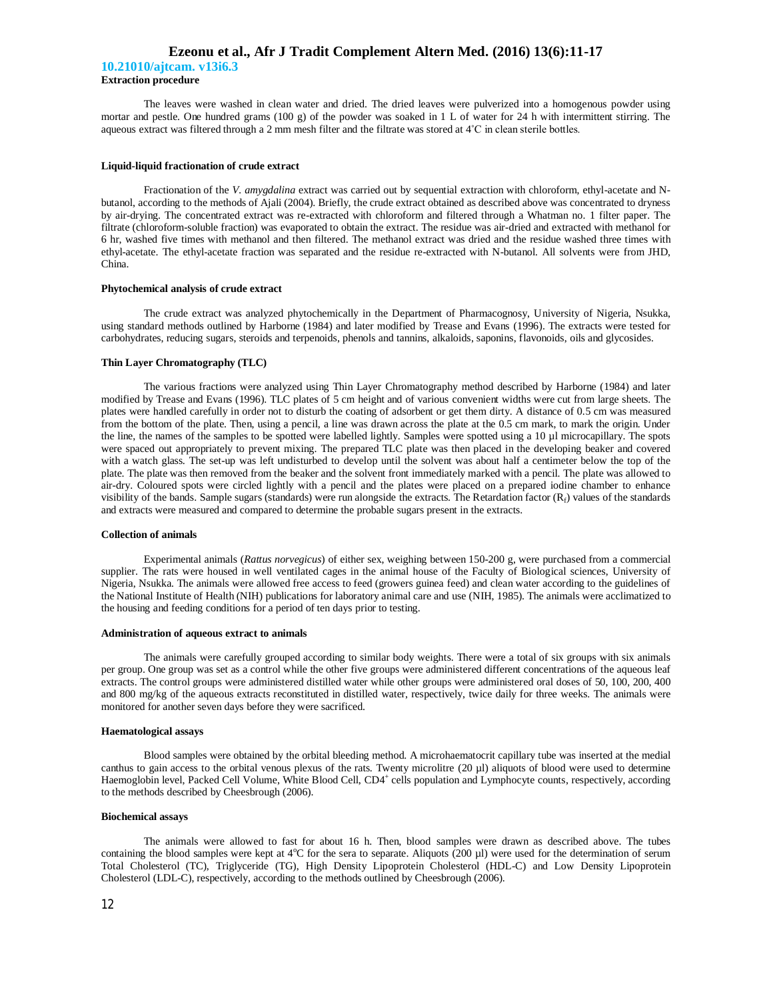**10.21010/ajtcam. v13i6.3 Extraction procedure**

The leaves were washed in clean water and dried. The dried leaves were pulverized into a homogenous powder using mortar and pestle. One hundred grams (100 g) of the powder was soaked in 1 L of water for 24 h with intermittent stirring. The aqueous extract was filtered through a 2 mm mesh filter and the filtrate was stored at 4˚C in clean sterile bottles.

#### **Liquid-liquid fractionation of crude extract**

Fractionation of the *V. amygdalina* extract was carried out by sequential extraction with chloroform, ethyl-acetate and Nbutanol, according to the methods of Ajali (2004). Briefly, the crude extract obtained as described above was concentrated to dryness by air-drying. The concentrated extract was re-extracted with chloroform and filtered through a Whatman no. 1 filter paper. The filtrate (chloroform-soluble fraction) was evaporated to obtain the extract. The residue was air-dried and extracted with methanol for 6 hr, washed five times with methanol and then filtered. The methanol extract was dried and the residue washed three times with ethyl-acetate. The ethyl-acetate fraction was separated and the residue re-extracted with N-butanol. All solvents were from JHD, China.

#### **Phytochemical analysis of crude extract**

The crude extract was analyzed phytochemically in the Department of Pharmacognosy, University of Nigeria, Nsukka, using standard methods outlined by Harborne (1984) and later modified by Trease and Evans (1996). The extracts were tested for carbohydrates, reducing sugars, steroids and terpenoids, phenols and tannins, alkaloids, saponins, flavonoids, oils and glycosides.

#### **Thin Layer Chromatography (TLC)**

The various fractions were analyzed using Thin Layer Chromatography method described by Harborne (1984) and later modified by Trease and Evans (1996). TLC plates of 5 cm height and of various convenient widths were cut from large sheets. The plates were handled carefully in order not to disturb the coating of adsorbent or get them dirty. A distance of 0.5 cm was measured from the bottom of the plate. Then, using a pencil, a line was drawn across the plate at the 0.5 cm mark, to mark the origin. Under the line, the names of the samples to be spotted were labelled lightly. Samples were spotted using a 10 µl microcapillary. The spots were spaced out appropriately to prevent mixing. The prepared TLC plate was then placed in the developing beaker and covered with a watch glass. The set-up was left undisturbed to develop until the solvent was about half a centimeter below the top of the plate. The plate was then removed from the beaker and the solvent front immediately marked with a pencil. The plate was allowed to air-dry. Coloured spots were circled lightly with a pencil and the plates were placed on a prepared iodine chamber to enhance visibility of the bands. Sample sugars (standards) were run alongside the extracts. The Retardation factor  $(R_f)$  values of the standards and extracts were measured and compared to determine the probable sugars present in the extracts.

#### **Collection of animals**

Experimental animals (*Rattus norvegicus*) of either sex, weighing between 150-200 g, were purchased from a commercial supplier. The rats were housed in well ventilated cages in the animal house of the Faculty of Biological sciences, University of Nigeria, Nsukka. The animals were allowed free access to feed (growers guinea feed) and clean water according to the guidelines of the National Institute of Health (NIH) publications for laboratory animal care and use (NIH, 1985). The animals were acclimatized to the housing and feeding conditions for a period of ten days prior to testing.

#### **Administration of aqueous extract to animals**

The animals were carefully grouped according to similar body weights. There were a total of six groups with six animals per group. One group was set as a control while the other five groups were administered different concentrations of the aqueous leaf extracts. The control groups were administered distilled water while other groups were administered oral doses of 50, 100, 200, 400 and 800 mg/kg of the aqueous extracts reconstituted in distilled water, respectively, twice daily for three weeks. The animals were monitored for another seven days before they were sacrificed.

#### **Haematological assays**

Blood samples were obtained by the orbital bleeding method. A microhaematocrit capillary tube was inserted at the medial canthus to gain access to the orbital venous plexus of the rats. Twenty microlitre (20 µl) aliquots of blood were used to determine Haemoglobin level, Packed Cell Volume, White Blood Cell, CD4<sup>+</sup> cells population and Lymphocyte counts, respectively, according to the methods described by Cheesbrough (2006).

#### **Biochemical assays**

The animals were allowed to fast for about 16 h. Then, blood samples were drawn as described above. The tubes containing the blood samples were kept at  $4^{\circ}C$  for the sera to separate. Aliquots (200 µl) were used for the determination of serum Total Cholesterol (TC), Triglyceride (TG), High Density Lipoprotein Cholesterol (HDL-C) and Low Density Lipoprotein Cholesterol (LDL-C), respectively, according to the methods outlined by Cheesbrough (2006).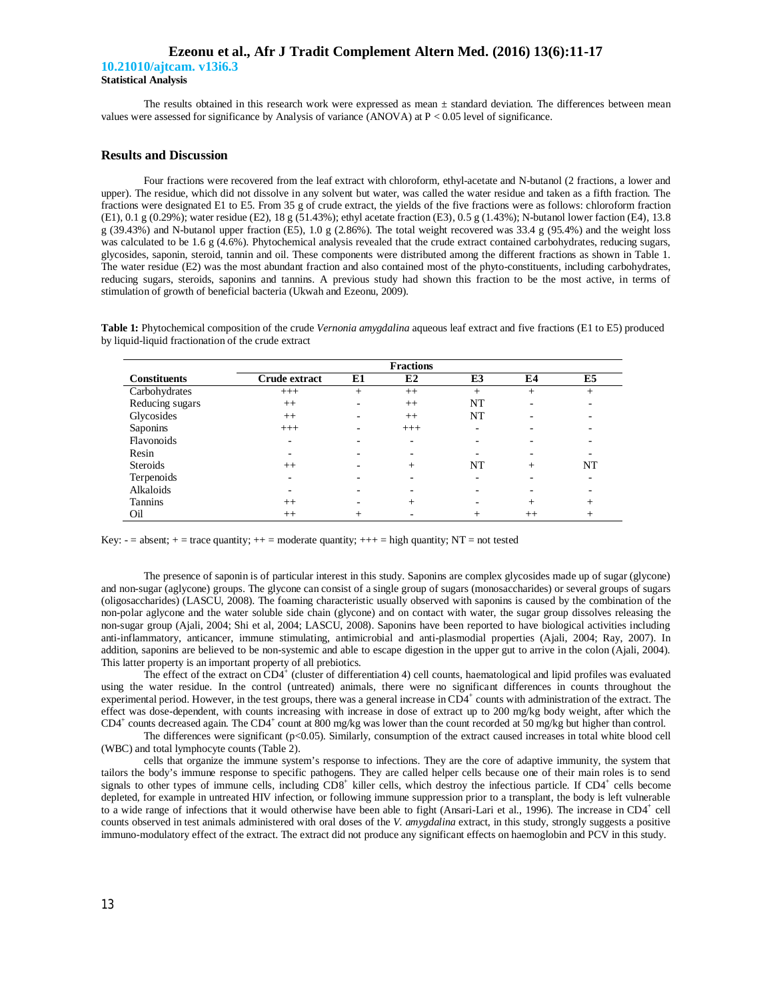**10.21010/ajtcam. v13i6.3 Statistical Analysis**

The results obtained in this research work were expressed as mean  $\pm$  standard deviation. The differences between mean values were assessed for significance by Analysis of variance (ANOVA) at P < 0.05 level of significance.

#### **Results and Discussion**

Four fractions were recovered from the leaf extract with chloroform, ethyl-acetate and N-butanol (2 fractions, a lower and upper). The residue, which did not dissolve in any solvent but water, was called the water residue and taken as a fifth fraction. The fractions were designated E1 to E5. From 35 g of crude extract, the yields of the five fractions were as follows: chloroform fraction (E1), 0.1 g (0.29%); water residue (E2), 18 g (51.43%); ethyl acetate fraction (E3), 0.5 g (1.43%); N-butanol lower faction (E4), 13.8 g (39.43%) and N-butanol upper fraction (E5), 1.0 g (2.86%). The total weight recovered was 33.4 g (95.4%) and the weight loss was calculated to be 1.6 g (4.6%). Phytochemical analysis revealed that the crude extract contained carbohydrates, reducing sugars, glycosides, saponin, steroid, tannin and oil. These components were distributed among the different fractions as shown in Table 1. The water residue (E2) was the most abundant fraction and also contained most of the phyto-constituents, including carbohydrates, reducing sugars, steroids, saponins and tannins. A previous study had shown this fraction to be the most active, in terms of stimulation of growth of beneficial bacteria (Ukwah and Ezeonu, 2009).

**Table 1:** Phytochemical composition of the crude *Vernonia amygdalina* aqueous leaf extract and five fractions (E1 to E5) produced by liquid-liquid fractionation of the crude extract

|                     | <b>Fractions</b>     |        |          |        |         |        |
|---------------------|----------------------|--------|----------|--------|---------|--------|
| <b>Constituents</b> | <b>Crude extract</b> | E1     | E2       | E3     | E4      | E5     |
| Carbohydrates       | $+++$                | $^{+}$ | $++$     | $^{+}$ | $^{+}$  | $^{+}$ |
| Reducing sugars     | $^{++}$              | -      | $++$     | NT     | -       |        |
| Glycosides          | $^{++}$              |        | $++$     | NT     |         |        |
| Saponins            | $+++$                |        | $^{+++}$ |        |         |        |
| Flavonoids          | -                    |        |          |        |         |        |
| Resin               |                      |        |          |        |         |        |
| <b>Steroids</b>     | $^{++}$              |        | $^{+}$   | NT     | $^{+}$  | NT     |
| Terpenoids          |                      |        |          |        |         |        |
| Alkaloids           |                      |        |          |        |         |        |
| <b>Tannins</b>      | $^{++}$              |        | $^+$     |        | $^{+}$  | $^{+}$ |
| Oil                 | $^{++}$              | $^+$   |          |        | $^{++}$ | $^+$   |

Key:  $=$  absent;  $+$  = trace quantity;  $++$  = moderate quantity;  $++$  = high quantity; NT = not tested

The presence of saponin is of particular interest in this study. Saponins are complex glycosides made up of sugar (glycone) and non-sugar (aglycone) groups. The glycone can consist of a single group of sugars (monosaccharides) or several groups of sugars (oligosaccharides) (LASCU, 2008). The foaming characteristic usually observed with saponins is caused by the combination of the non-polar aglycone and the water soluble side chain (glycone) and on contact with water, the sugar group dissolves releasing the non-sugar group (Ajali, 2004; Shi et al, 2004; LASCU, 2008). Saponins have been reported to have biological activities including anti-inflammatory, anticancer, immune stimulating, antimicrobial and anti-plasmodial properties (Ajali, 2004; Ray, 2007). In addition, saponins are believed to be non-systemic and able to escape digestion in the upper gut to arrive in the colon (Ajali, 2004). This latter property is an important property of all prebiotics.

The effect of the extract on  $CD4^+$  (cluster of differentiation 4) cell counts, haematological and lipid profiles was evaluated using the water residue. In the control (untreated) animals, there were no significant differences in counts throughout the experimental period. However, in the test groups, there was a general increase in CD4<sup>+</sup> counts with administration of the extract. The effect was dose-dependent, with counts increasing with increase in dose of extract up to 200 mg/kg body weight, after which the CD4<sup>+</sup> counts decreased again. The CD4<sup>+</sup> count at 800 mg/kg was lower than the count recorded at 50 mg/kg but higher than control.

The differences were significant  $(p<0.05)$ . Similarly, consumption of the extract caused increases in total white blood cell (WBC) and total lymphocyte counts (Table 2).

cells that organize the immune system's response to infections. They are the core of adaptive immunity, the system that tailors the body's immune response to specific pathogens. They are called helper cells because one of their main roles is to send signals to other types of immune cells, including CD8<sup>+</sup> killer cells, which destroy the infectious particle. If CD4<sup>+</sup> cells become depleted, for example in untreated HIV infection, or following immune suppression prior to a transplant, the body is left vulnerable to a wide range of infections that it would otherwise have been able to fight (Ansari-Lari et al., 1996). The increase in CD4<sup>+</sup> cell counts observed in test animals administered with oral doses of the *V. amygdalina* extract, in this study, strongly suggests a positive immuno-modulatory effect of the extract. The extract did not produce any significant effects on haemoglobin and PCV in this study.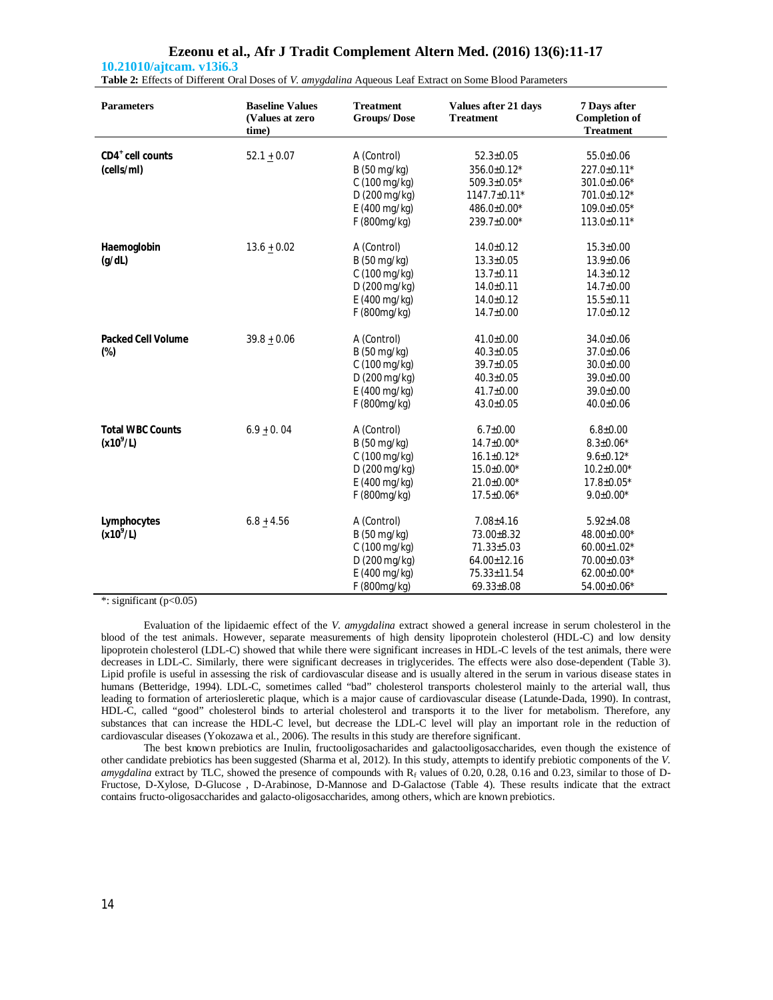| <b>Parameters</b>                        | <b>Baseline Values</b><br>(Values at zero<br>time) | <b>Treatment</b><br><b>Groups/Dose</b>                                                                  | Values after 21 days<br><b>Treatment</b>                                                                       | 7 Days after<br><b>Completion of</b><br><b>Treatment</b>                                                       |
|------------------------------------------|----------------------------------------------------|---------------------------------------------------------------------------------------------------------|----------------------------------------------------------------------------------------------------------------|----------------------------------------------------------------------------------------------------------------|
| $CD4^+$ cell counts<br>(cells/ml)        | 52.1 $\pm$ 0.07                                    | A (Control)<br>B (50 mg/kg)<br>$C(100 \text{ mg/kg})$<br>D (200 mg/kg)<br>E (400 mg/kg)<br>F (800mg/kg) | $52.3 \pm 0.05$<br>$356.0 \pm 0.12*$<br>509.3±0.05*<br>$1147.7 \pm 0.11*$<br>486.0±0.00*<br>239.7±0.00*        | $55.0 \pm 0.06$<br>227.0±0.11*<br>301.0±0.06*<br>701.0±0.12*<br>109.0±0.05*<br>$113.0 \pm 0.11*$               |
| Haemoglobin<br>(q/dl)                    | $13.6 \pm 0.02$                                    | A (Control)<br>B (50 mg/kg)<br>C (100 mg/kg)<br>D (200 mg/kg)<br>E (400 mg/kg)<br>F (800mg/kg)          | $14.0 \pm 0.12$<br>$13.3 \pm 0.05$<br>$13.7 \pm 0.11$<br>$14.0 \pm 0.11$<br>$14.0 \pm 0.12$<br>$14.7 \pm 0.00$ | $15.3 \pm 0.00$<br>$13.9 \pm 0.06$<br>$14.3 \pm 0.12$<br>$14.7 \pm 0.00$<br>$15.5 \pm 0.11$<br>$17.0 \pm 0.12$ |
| <b>Packed Cell Volume</b><br>$(\%)$      | $39.8 + 0.06$                                      | A (Control)<br>$B(50 \text{ mg/kg})$<br>C (100 mg/kg)<br>D (200 mg/kg)<br>E (400 mg/kg)<br>F (800mg/kg) | $41.0 \pm 0.00$<br>$40.3 \pm 0.05$<br>$39.7 \pm 0.05$<br>$40.3 \pm 0.05$<br>$41.7 \pm 0.00$<br>$43.0 \pm 0.05$ | $34.0 \pm 0.06$<br>$37.0 \pm 0.06$<br>$30.0 \pm 0.00$<br>$39.0 \pm 0.00$<br>$39.0 \pm 0.00$<br>$40.0 \pm 0.06$ |
| <b>Total WBC Counts</b><br>$(x10^{9}/L)$ | $6.9 \pm 0.04$                                     | A (Control)<br>$B(50 \text{ mg/kg})$<br>C (100 mg/kg)<br>D (200 mg/kg)<br>E (400 mg/kg)<br>F (800mg/kg) | $6.7 \pm 0.00$<br>14.7±0.00*<br>$16.1 \pm 0.12*$<br>$15.0 \pm 0.00*$<br>$21.0 \pm 0.00*$<br>17.5±0.06*         | $6.8 + 0.00$<br>$8.3 \pm 0.06*$<br>$9.6 \pm 0.12*$<br>$10.2 \pm 0.00*$<br>$17.8 \pm 0.05*$<br>$9.0 \pm 0.00*$  |
| Lymphocytes<br>(x10 <sup>9</sup> /L)     | $6.8 + 4.56$                                       | A (Control)<br>B (50 mg/kg)<br>C (100 mg/kg)<br>D (200 mg/kg)<br>E (400 mg/kg)<br>F (800mg/kg)          | $7.08 \pm 4.16$<br>73.00±8.32<br>$71.33 \pm 5.03$<br>64.00±12.16<br>75.33±11.54<br>$69.33 \pm 8.08$            | $5.92 \pm 4.08$<br>48.00±0.00*<br>$60.00 \pm 1.02*$<br>70.00±0.03*<br>$62.00 \pm 0.00^*$<br>$54.00 \pm 0.06*$  |

**10.21010/ajtcam. v13i6.3**

**Table 2:** Effects of Different Oral Doses of *V. amygdalina* Aqueous Leaf Extract on Some Blood Parameters

\*: significant  $(p<0.05)$ 

Evaluation of the lipidaemic effect of the *V. amygdalina* extract showed a general increase in serum cholesterol in the blood of the test animals. However, separate measurements of high density lipoprotein cholesterol (HDL-C) and low density lipoprotein cholesterol (LDL-C) showed that while there were significant increases in HDL-C levels of the test animals, there were decreases in LDL-C. Similarly, there were significant decreases in triglycerides. The effects were also dose-dependent (Table 3). Lipid profile is useful in assessing the risk of cardiovascular disease and is usually altered in the serum in various disease states in humans (Betteridge, 1994). LDL-C, sometimes called "bad" cholesterol transports cholesterol mainly to the arterial wall, thus leading to formation of arteriosleretic plaque, which is a major cause of cardiovascular disease (Latunde-Dada, 1990). In contrast, HDL-C, called "good" cholesterol binds to arterial cholesterol and transports it to the liver for metabolism. Therefore, any substances that can increase the HDL-C level, but decrease the LDL-C level will play an important role in the reduction of cardiovascular diseases (Yokozawa et al., 2006). The results in this study are therefore significant.

The best known prebiotics are Inulin, fructooligosacharides and galactooligosaccharides, even though the existence of other candidate prebiotics has been suggested (Sharma et al*,* 2012). In this study, attempts to identify prebiotic components of the *V. amygdalina* extract by TLC, showed the presence of compounds with  $R_f$  values of 0.20, 0.28, 0.16 and 0.23, similar to those of D-Fructose, D-Xylose, D-Glucose , D-Arabinose, D-Mannose and D-Galactose (Table 4). These results indicate that the extract contains fructo-oligosaccharides and galacto-oligosaccharides, among others, which are known prebiotics.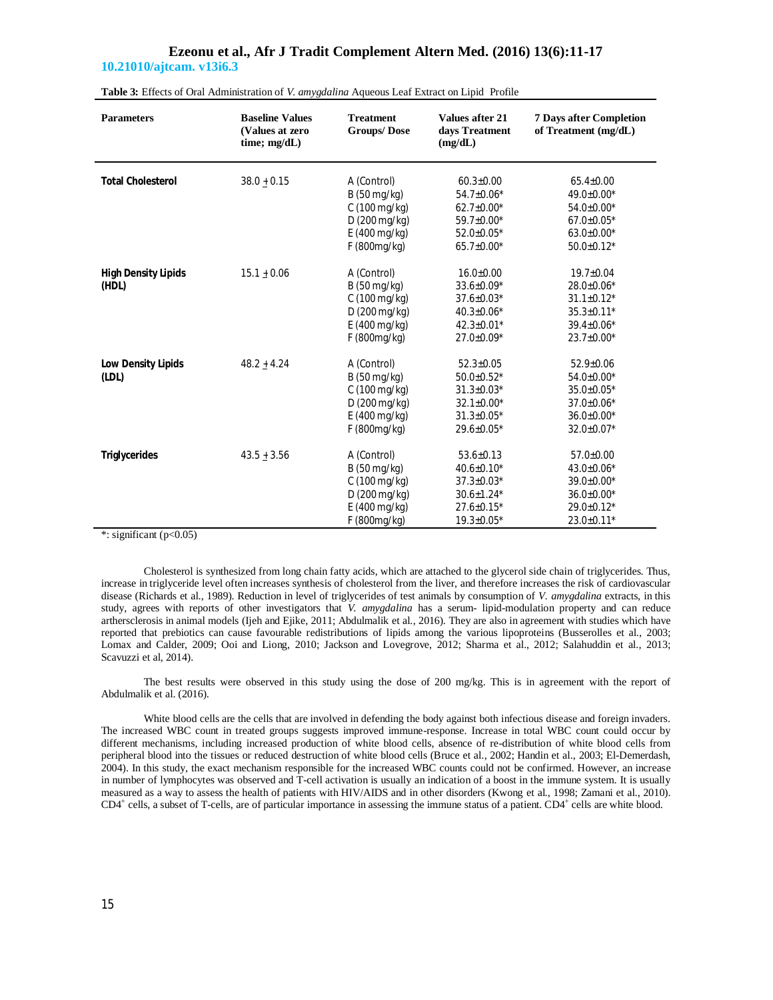**10.21010/ajtcam. v13i6.3**

| <b>Parameters</b>                                  | <b>Baseline Values</b><br>(Values at zero<br>time; $mg/dL$ ) | <b>Treatment</b><br><b>Groups/Dose</b>                                                                  | Values after 21<br>days Treatment<br>(mg/dL)                                                                        | <b>7 Days after Completion</b><br>of Treatment (mg/dL)                                                              |
|----------------------------------------------------|--------------------------------------------------------------|---------------------------------------------------------------------------------------------------------|---------------------------------------------------------------------------------------------------------------------|---------------------------------------------------------------------------------------------------------------------|
| <b>Total Cholesterol</b>                           | $38.0 + 0.15$                                                | A (Control)<br>B (50 mg/kg)<br>C (100 mg/kg)<br>D (200 mg/kg)<br>E (400 mg/kg)<br>F (800mg/kg)          | $60.3 \pm 0.00$<br>$54.7 \pm 0.06*$<br>$62.7 \pm 0.00*$<br>$59.7 \pm 0.00*$<br>$52.0 \pm 0.05*$<br>$65.7 \pm 0.00*$ | $65.4 \pm 0.00$<br>$49.0 \pm 0.00*$<br>54.0±0.00*<br>$67.0 \pm 0.05*$<br>$63.0 \pm 0.00*$<br>$50.0 \pm 0.12*$       |
| <b>High Density Lipids</b><br>(HDL)                | $15.1 + 0.06$                                                | A (Control)<br>B (50 mg/kg)<br>C (100 mg/kg)<br>D (200 mg/kg)<br>$E(400 \text{ mg/kg})$<br>F (800mg/kg) | $16.0 \pm 0.00$<br>33.6±0.09*<br>$37.6 \pm 0.03*$<br>$40.3 \pm 0.06*$<br>42.3±0.01*<br>$27.0 \pm 0.09*$             | $19.7 \pm 0.04$<br>28.0±0.06*<br>$31.1 \pm 0.12*$<br>$35.3 \pm 0.11*$<br>39.4±0.06*<br>$23.7 \pm 0.00*$             |
| <b>Low Density Lipids</b><br>(LDL)                 | $48.2 + 4.24$                                                | A (Control)<br>B (50 mg/kg)<br>C (100 mg/kg)<br>D (200 mg/kg)<br>$E(400 \text{ mg/kg})$<br>F (800mg/kg) | $52.3 \pm 0.05$<br>$50.0 \pm 0.52*$<br>$31.3 \pm 0.03*$<br>$32.1 \pm 0.00*$<br>$31.3 \pm 0.05*$<br>29.6±0.05*       | $52.9 \pm 0.06$<br>54.0±0.00*<br>$35.0 \pm 0.05*$<br>$37.0 \pm 0.06*$<br>$36.0{\pm}0.00*$<br>32.0±0.07*             |
| <b>Triglycerides</b><br>$*$ cionificant $(n<0.05)$ | $43.5 + 3.56$                                                | A (Control)<br>$B(50 \text{ mg/kg})$<br>C (100 mg/kg)<br>D (200 mg/kg)<br>E (400 mg/kg)<br>F (800mg/kg) | $53.6 \pm 0.13$<br>$40.6 \pm 0.10*$<br>$37.3 \pm 0.03*$<br>$30.6 \pm 1.24*$<br>$27.6 \pm 0.15*$<br>$19.3 \pm 0.05*$ | $57.0 \pm 0.00$<br>$43.0 \pm 0.06*$<br>$39.0 \pm 0.00*$<br>$36.0{\pm}0.00*$<br>$29.0 \pm 0.12*$<br>$23.0 \pm 0.11*$ |

**Table 3:** Effects of Oral Administration of *V. amygdalina* Aqueous Leaf Extract on Lipid Profile

\*: significant (p<0.05)

Cholesterol is synthesized from long chain fatty acids, which are attached to the glycerol side chain of triglycerides. Thus, increase in triglyceride level often increases synthesis of cholesterol from the liver, and therefore increases the risk of cardiovascular disease (Richards et al., 1989). Reduction in level of triglycerides of test animals by consumption of *V. amygdalina* extracts, in this study, agrees with reports of other investigators that *V. amygdalina* has a serum- lipid-modulation property and can reduce arthersclerosis in animal models (Ijeh and Ejike, 2011; Abdulmalik et al., 2016). They are also in agreement with studies which have reported that prebiotics can cause favourable redistributions of lipids among the various lipoproteins (Busserolles et al., 2003; Lomax and Calder, 2009; Ooi and Liong, 2010; Jackson and Lovegrove, 2012; Sharma et al., 2012; Salahuddin et al*.,* 2013; Scavuzzi et al*,* 2014).

The best results were observed in this study using the dose of 200 mg/kg. This is in agreement with the report of Abdulmalik et al. (2016).

White blood cells are the cells that are involved in defending the body against both infectious disease and foreign invaders. The increased WBC count in treated groups suggests improved immune-response. Increase in total WBC count could occur by different mechanisms, including increased production of white blood cells, absence of re-distribution of white blood cells from peripheral blood into the tissues or reduced destruction of white blood cells (Bruce et al., 2002; Handin et al., 2003; El-Demerdash, 2004). In this study, the exact mechanism responsible for the increased WBC counts could not be confirmed. However, an increase in number of lymphocytes was observed and T-cell activation is usually an indication of a boost in the immune system. It is usually measured as a way to assess the health of patients with HIV/AIDS and in other disorders (Kwong et al., 1998; Zamani et al., 2010). CD4<sup>+</sup> cells, a subset of T-cells, are of particular importance in assessing the immune status of a patient. CD4<sup>+</sup> cells are white blood.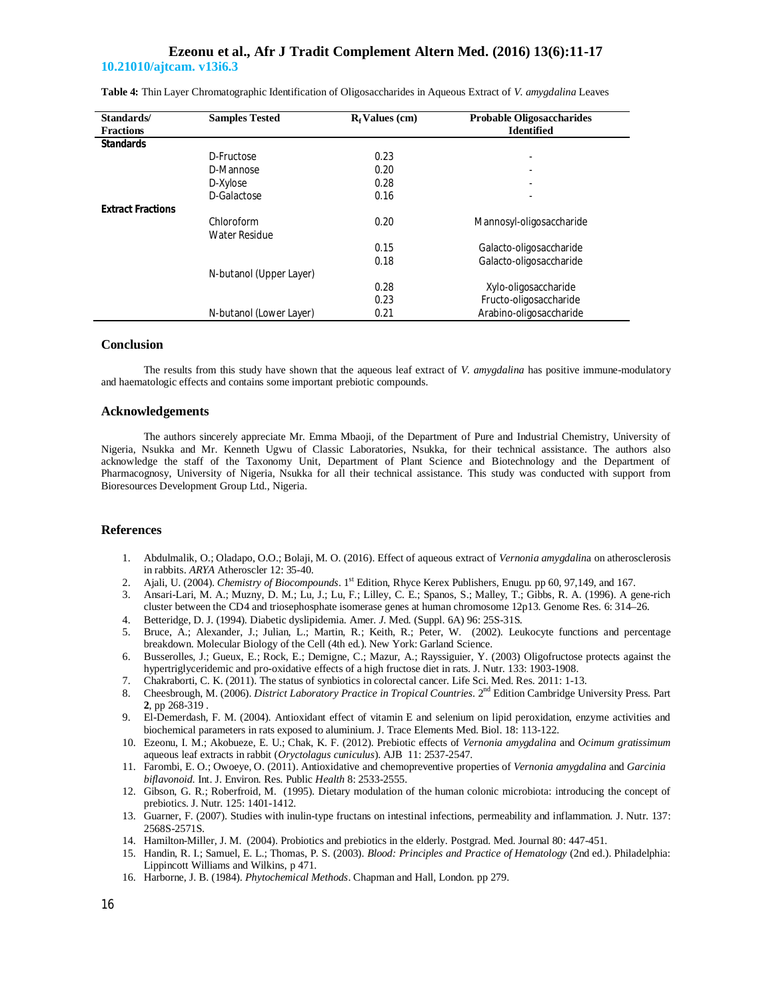# **Ezeonu et al., Afr J Tradit Complement Altern Med. (2016) 13(6):11-17 10.21010/ajtcam. v13i6.3**

| Standards/               | <b>Samples Tested</b>   | $R_f$ Values (cm) | <b>Probable Oligosaccharides</b> |
|--------------------------|-------------------------|-------------------|----------------------------------|
| <b>Fractions</b>         |                         |                   | <b>Identified</b>                |
| <b>Standards</b>         |                         |                   |                                  |
|                          | D-Fructose              | 0.23              |                                  |
|                          | D-Mannose               | 0.20              |                                  |
|                          | D-Xylose                | 0.28              |                                  |
|                          | D-Galactose             | 0.16              |                                  |
| <b>Extract Fractions</b> |                         |                   |                                  |
|                          | Chloroform              | 0.20              | Mannosyl-oligosaccharide         |
|                          | Water Residue           |                   |                                  |
|                          |                         | 0.15              | Galacto-oligosaccharide          |
|                          |                         | 0.18              | Galacto-oligosaccharide          |
|                          | N-butanol (Upper Layer) |                   |                                  |
|                          |                         | 0.28              | Xylo-oligosaccharide             |
|                          |                         | 0.23              | Fructo-oligosaccharide           |
|                          | N-butanol (Lower Layer) | 0.21              | Arabino-oligosaccharide          |

**Table 4:** Thin Layer Chromatographic Identification of Oligosaccharides in Aqueous Extract of *V. amygdalina* Leaves

#### **Conclusion**

The results from this study have shown that the aqueous leaf extract of *V. amygdalina* has positive immune-modulatory and haematologic effects and contains some important prebiotic compounds.

#### **Acknowledgements**

The authors sincerely appreciate Mr. Emma Mbaoji, of the Department of Pure and Industrial Chemistry, University of Nigeria, Nsukka and Mr. Kenneth Ugwu of Classic Laboratories, Nsukka, for their technical assistance. The authors also acknowledge the staff of the Taxonomy Unit, Department of Plant Science and Biotechnology and the Department of Pharmacognosy, University of Nigeria, Nsukka for all their technical assistance. This study was conducted with support from Bioresources Development Group Ltd., Nigeria.

### **References**

- 1. Abdulmalik, O.; Oladapo, O.O.; Bolaji, M. O. (2016). Effect of aqueous extract of *Vernonia amygdalin*a on atherosclerosis in rabbits. *ARYA* Atheroscler 12: 35-40.
- 2. Ajali, U. (2004). *Chemistry of Biocompounds*. 1st Edition, Rhyce Kerex Publishers, Enugu. pp 60, 97,149, and 167.
- 3. Ansari-Lari, M. A.; Muzny, D. M.; Lu, J.; Lu, F.; Lilley, C. E.; Spanos, S.; Malley, T.; Gibbs, R. A. (1996). A gene-rich cluster between the CD4 and triosephosphate isomerase genes at human chromosome 12p13. Genome Res. 6: 314–26.
- 4. Betteridge, D. J. (1994). Diabetic dyslipidemia. Amer. *J.* Med*.* (Suppl. 6A) 96: 25S-31S.
- 5. Bruce, A.; Alexander, J.; Julian, L.; Martin, R.; Keith, R.; Peter, W. (2002). Leukocyte functions and percentage breakdown. Molecular Biology of the Cell (4th ed.). New York: Garland Science.
- 6. Busserolles, J.; Gueux, E.; Rock, E.; Demigne, C.; Mazur, A.; Rayssiguier, Y. (2003) Oligofructose protects against the hypertriglyceridemic and pro-oxidative effects of a high fructose diet in rats. J. Nutr. 133: 1903-1908.
- 7. Chakraborti, C. K. (2011). The status of synbiotics in colorectal cancer. Life Sci. Med. Res. 2011: 1-13.
- 8. Cheesbrough, M. (2006). *District Laboratory Practice in Tropical Countries*. 2nd Edition Cambridge University Press. Part **2**, pp 268-319 .
- 9. El-Demerdash, F. M. (2004). Antioxidant effect of vitamin E and selenium on lipid peroxidation, enzyme activities and biochemical parameters in rats exposed to aluminium. J. Trace Elements Med. Biol. 18: 113-122.
- 10. Ezeonu, I. M.; Akobueze, E. U.; Chak, K. F. (2012). Prebiotic effects of *Vernonia amygdalina* and *Ocimum gratissimum* aqueous leaf extracts in rabbit (*Oryctolagus cuniculus*). AJB 11: 2537-2547.
- 11. Farombi, E. O.; Owoeye, O. (2011). Antioxidative and chemopreventive properties of *Vernonia amygdalina* and *Garcinia biflavonoid*. Int. J. Environ. Res. Public *Health* 8: 2533-2555.
- 12. Gibson, G. R.; Roberfroid, M. (1995). Dietary modulation of the human colonic microbiota: introducing the concept of prebiotics. J. Nutr. 125: 1401-1412.
- 13. Guarner, F. (2007). Studies with inulin-type fructans on intestinal infections, permeability and inflammation. J. Nutr. 137: 2568S-2571S.
- 14. Hamilton-Miller, J. M. (2004). Probiotics and prebiotics in the elderly. Postgrad. Med. Journal 80: 447-451.
- 15. Handin, R. I.; Samuel, E. L.; Thomas, P. S. (2003). *Blood: Principles and Practice of Hematology* (2nd ed.). Philadelphia: Lippincott Williams and Wilkins, p 471.
- 16. Harborne, J. B. (1984). *Phytochemical Methods*. Chapman and Hall, London. pp 279.